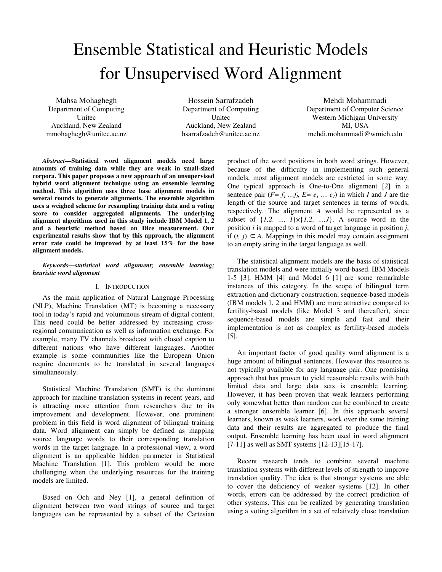# Ensemble Statistical and Heuristic Models for Unsupervised Word Alignment

Mahsa Mohaghegh Department of Computing Unitec Auckland, New Zealand mmohaghegh@unitec.ac.nz

Hossein Sarrafzadeh Department of Computing Unitec Auckland, New Zealand hsarrafzadeh@unitec.ac.nz

Mehdi Mohammadi Department of Computer Science Western Michigan University MI, USA mehdi.mohammadi@wmich.edu

*Abstract***—Statistical word alignment models need large amounts of training data while they are weak in small-sized corpora. This paper proposes a new approach of an unsupervised hybrid word alignment technique using an ensemble learning method. This algorithm uses three base alignment models in several rounds to generate alignments. The ensemble algorithm uses a weighed scheme for resampling training data and a voting score to consider aggregated alignments. The underlying alignment algorithms used in this study include IBM Model 1, 2 and a heuristic method based on Dice measurement. Our experimental results show that by this approach, the alignment error rate could be improved by at least 15% for the base alignment models.** 

# *Keywords—statistical word alignment; ensemble learning; heuristic word alignment*

# I. INTRODUCTION

As the main application of Natural Language Processing (NLP), Machine Translation (MT) is becoming a necessary tool in today's rapid and voluminous stream of digital content. This need could be better addressed by increasing crossregional communication as well as information exchange. For example, many TV channels broadcast with closed caption to different nations who have different languages. Another example is some communities like the European Union require documents to be translated in several languages simultaneously.

Statistical Machine Translation (SMT) is the dominant approach for machine translation systems in recent years, and is attracting more attention from researchers due to its improvement and development. However, one prominent problem in this field is word alignment of bilingual training data. Word alignment can simply be defined as mapping source language words to their corresponding translation words in the target language. In a professional view, a word alignment is an applicable hidden parameter in Statistical Machine Translation [1]. This problem would be more challenging when the underlying resources for the training models are limited.

Based on Och and Ney [1], a general definition of alignment between two word strings of source and target languages can be represented by a subset of the Cartesian

product of the word positions in both word strings. However, because of the difficulty in implementing such general models, most alignment models are restricted in some way. One typical approach is One-to-One alignment [2] in a sentence pair  $(F = f_1 \dots f_k E = e_1 \dots e_j)$  in which *I* and *J* are the length of the source and target sentences in terms of words, respectively. The alignment *A* would be represented as a subset of  $\{1,2, ..., I\} \times \{1,2, ..., J\}$ . A source word in the position *i* is mapped to a word of target language in position *j*, if  $(i, j)$  ∈ *A*. Mappings in this model may contain assignment to an empty string in the target language as well.

The statistical alignment models are the basis of statistical translation models and were initially word-based. IBM Models 1-5 [3], HMM [4] and Model 6 [1] are some remarkable instances of this category. In the scope of bilingual term extraction and dictionary construction, sequence-based models (IBM models 1, 2 and HMM) are more attractive compared to fertility-based models (like Model 3 and thereafter), since sequence-based models are simple and fast and their implementation is not as complex as fertility-based models [5].

An important factor of good quality word alignment is a huge amount of bilingual sentences. However this resource is not typically available for any language pair. One promising approach that has proven to yield reasonable results with both limited data and large data sets is ensemble learning. However, it has been proven that weak learners performing only somewhat better than random can be combined to create a stronger ensemble learner [6]. In this approach several learners, known as weak learners, work over the same training data and their results are aggregated to produce the final output. Ensemble learning has been used in word alignment [7-11] as well as SMT systems [12-13][15-17].

Recent research tends to combine several machine translation systems with different levels of strength to improve translation quality. The idea is that stronger systems are able to cover the deficiency of weaker systems [12]. In other words, errors can be addressed by the correct prediction of other systems. This can be realized by generating translation using a voting algorithm in a set of relatively close translation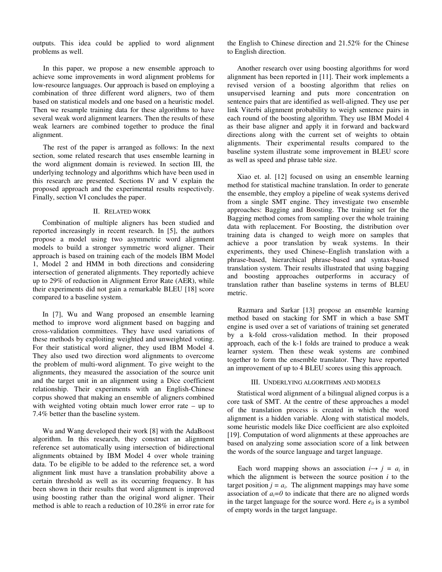outputs. This idea could be applied to word alignment problems as well.

In this paper, we propose a new ensemble approach to achieve some improvements in word alignment problems for low-resource languages. Our approach is based on employing a combination of three different word aligners, two of them based on statistical models and one based on a heuristic model. Then we resample training data for these algorithms to have several weak word alignment learners. Then the results of these weak learners are combined together to produce the final alignment.

The rest of the paper is arranged as follows: In the next section, some related research that uses ensemble learning in the word alignment domain is reviewed. In section III, the underlying technology and algorithms which have been used in this research are presented. Sections IV and V explain the proposed approach and the experimental results respectively. Finally, section VI concludes the paper.

#### II. RELATED WORK

Combination of multiple aligners has been studied and reported increasingly in recent research. In [5], the authors propose a model using two asymmetric word alignment models to build a stronger symmetric word aligner. Their approach is based on training each of the models IBM Model 1, Model 2 and HMM in both directions and considering intersection of generated alignments. They reportedly achieve up to 29% of reduction in Alignment Error Rate (AER), while their experiments did not gain a remarkable BLEU [18] score compared to a baseline system.

In [7], Wu and Wang proposed an ensemble learning method to improve word alignment based on bagging and cross-validation committees. They have used variations of these methods by exploiting weighted and unweighted voting. For their statistical word aligner, they used IBM Model 4. They also used two direction word alignments to overcome the problem of multi-word alignment. To give weight to the alignments, they measured the association of the source unit and the target unit in an alignment using a Dice coefficient relationship. Their experiments with an English-Chinese corpus showed that making an ensemble of aligners combined with weighted voting obtain much lower error rate – up to 7.4% better than the baseline system.

Wu and Wang developed their work [8] with the AdaBoost algorithm. In this research, they construct an alignment reference set automatically using intersection of bidirectional alignments obtained by IBM Model 4 over whole training data. To be eligible to be added to the reference set, a word alignment link must have a translation probability above a certain threshold as well as its occurring frequency. It has been shown in their results that word alignment is improved using boosting rather than the original word aligner. Their method is able to reach a reduction of 10.28% in error rate for the English to Chinese direction and 21.52% for the Chinese to English direction.

Another research over using boosting algorithms for word alignment has been reported in [11]. Their work implements a revised version of a boosting algorithm that relies on unsupervised learning and puts more concentration on sentence pairs that are identified as well-aligned. They use per link Viterbi alignment probability to weigh sentence pairs in each round of the boosting algorithm. They use IBM Model 4 as their base aligner and apply it in forward and backward directions along with the current set of weights to obtain alignments. Their experimental results compared to the baseline system illustrate some improvement in BLEU score as well as speed and phrase table size.

Xiao et. al. [12] focused on using an ensemble learning method for statistical machine translation. In order to generate the ensemble, they employ a pipeline of weak systems derived from a single SMT engine. They investigate two ensemble approaches: Bagging and Boosting. The training set for the Bagging method comes from sampling over the whole training data with replacement. For Boosting, the distribution over training data is changed to weigh more on samples that achieve a poor translation by weak systems. In their experiments, they used Chinese–English translation with a phrase-based, hierarchical phrase-based and syntax-based translation system. Their results illustrated that using bagging and boosting approaches outperforms in accuracy of translation rather than baseline systems in terms of BLEU metric.

Razmara and Sarkar [13] propose an ensemble learning method based on stacking for SMT in which a base SMT engine is used over a set of variations of training set generated by a k-fold cross-validation method. In their proposed approach, each of the k-1 folds are trained to produce a weak learner system. Then these weak systems are combined together to form the ensemble translator. They have reported an improvement of up to 4 BLEU scores using this approach.

#### III. UNDERLYING ALGORITHMS AND MODELS

Statistical word alignment of a bilingual aligned corpus is a core task of SMT. At the centre of these approaches a model of the translation process is created in which the word alignment is a hidden variable. Along with statistical models, some heuristic models like Dice coefficient are also exploited [19]. Computation of word alignments at these approaches are based on analyzing some association score of a link between the words of the source language and target language.

Each word mapping shows an association  $i \rightarrow j = a_i$  in which the alignment is between the source position *i* to the target position  $j = a_i$ . The alignment mappings may have some association of  $a_i=0$  to indicate that there are no aligned words in the target language for the source word. Here  $e_0$  is a symbol of empty words in the target language.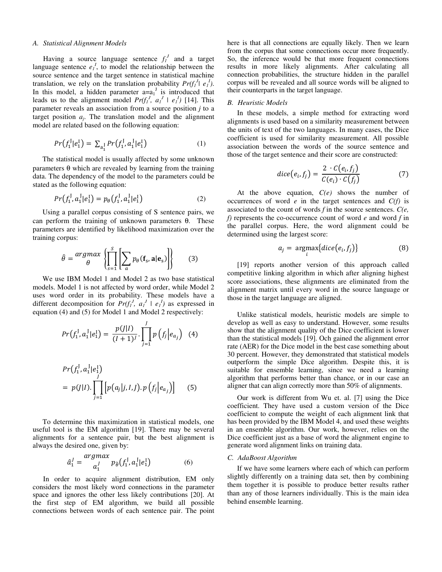## *A. Statistical Alignment Models*

Having a source language sentence  $f_1^J$  and a target language sentence  $e_1^I$ , to model the relationship between the source sentence and the target sentence in statistical machine translation, we rely on the translation probability  $Pr(f_l^J | e_l^I)$ . In this model, a hidden parameter  $a=a_1^J$  is introduced that leads us to the alignment model  $Pr(f_1^J, a_1^J \mid e_1^J)$  [14]. This parameter reveals an association from a source position *j* to a target position  $a_j$ . The translation model and the alignment model are related based on the following equation:

$$
Pr(f_1^I|e_1^I) = \sum_{a_1^I} Pr(f_1^I, a_1^I|e_1^I)
$$
 (1)

The statistical model is usually affected by some unknown parameters θ which are revealed by learning from the training data. The dependency of the model to the parameters could be stated as the following equation:

$$
Pr(f_1^J, a_1^J | e_1^I) = p_\theta(f_1^J, a_1^J | e_1^I)
$$
 (2)

Using a parallel corpus consisting of S sentence pairs, we can perform the training of unknown parameters θ. These parameters are identified by likelihood maximization over the training corpus:

$$
\hat{\theta} = \frac{\text{argmax}}{\theta} \left\{ \prod_{s=1}^{S} \left[ \sum_{a} p_{\theta}(\mathbf{f}_{s}, \mathbf{a} | \mathbf{e}_{s}) \right] \right\} \tag{3}
$$

We use IBM Model 1 and Model 2 as two base statistical models. Model 1 is not affected by word order, while Model 2 uses word order in its probability. These models have a different decomposition for  $Pr(f_1^J, a_1^J \mid e_1^J)$  as expressed in equation (4) and (5) for Model 1 and Model 2 respectively:

$$
Pr(f_1^j, a_1^j | e_1^l) = \frac{p(j|I)}{(I+1)^j} \cdot \prod_{j=1}^J p\left(f_j | e_{a_j}\right) \tag{4}
$$

$$
Pr(f_1^J, a_1^J | e_1^I)
$$
  
=  $p(J|I)$ . 
$$
\prod_{j=1}^{J} [p(a_j|j, I, J).p(f_j|e_{a_j})]
$$
 (5)

To determine this maximization in statistical models, one useful tool is the EM algorithm [19]. There may be several alignments for a sentence pair, but the best alignment is always the desired one, given by:

$$
\hat{a}_1^J = \frac{argmax}{a_1^J} p_{\hat{\theta}}(f_1^J, a_1^J | e_1^I)
$$
 (6)

In order to acquire alignment distribution, EM only considers the most likely word connections in the parameter space and ignores the other less likely contributions [20]. At the first step of EM algorithm, we build all possible connections between words of each sentence pair. The point

here is that all connections are equally likely. Then we learn from the corpus that some connections occur more frequently. So, the inference would be that more frequent connections results in more likely alignments. After calculating all connection probabilities, the structure hidden in the parallel corpus will be revealed and all source words will be aligned to their counterparts in the target language.

### *B. Heuristic Models*

In these models, a simple method for extracting word alignments is used based on a similarity measurement between the units of text of the two languages. In many cases, the Dice coefficient is used for similarity measurement. All possible association between the words of the source sentence and those of the target sentence and their score are constructed:

$$
dice(e_i, f_j) = \frac{2 \cdot C(e_i, f_j)}{C(e_i) \cdot C(f_j)}
$$
(7)

At the above equation, *C(e)* shows the number of occurrences of word *e* in the target sentences and *C(f)* is associated to the count of words *f* in the source sentences. *C(e, f)* represents the co-occurrence count of word *e* and word *f* in the parallel corpus. Here, the word alignment could be determined using the largest score:

$$
a_j = \underset{i}{\text{argmax}}\{dice(e_i, f_j)\}\tag{8}
$$

[19] reports another version of this approach called competitive linking algorithm in which after aligning highest score associations, these alignments are eliminated from the alignment matrix until every word in the source language or those in the target language are aligned.

Unlike statistical models, heuristic models are simple to develop as well as easy to understand. However, some results show that the alignment quality of the Dice coefficient is lower than the statistical models [19]. Och gained the alignment error rate (AER) for the Dice model in the best case something about 30 percent. However, they demonstrated that statistical models outperform the simple Dice algorithm. Despite this, it is suitable for ensemble learning, since we need a learning algorithm that performs better than chance, or in our case an aligner that can align correctly more than 50% of alignments.

Our work is different from Wu et. al. [7] using the Dice coefficient. They have used a custom version of the Dice coefficient to compute the weight of each alignment link that has been provided by the IBM Model 4, and used these weights in an ensemble algorithm. Our work, however, relies on the Dice coefficient just as a base of word the alignment engine to generate word alignment links on training data.

#### *C. AdaBoost Algorithm*

If we have some learners where each of which can perform slightly differently on a training data set, then by combining them together it is possible to produce better results rather than any of those learners individually. This is the main idea behind ensemble learning.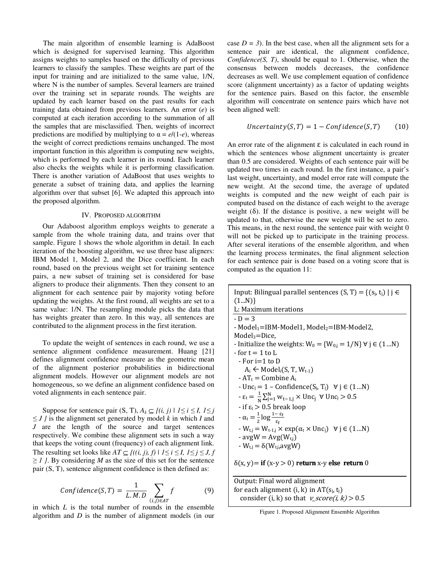The main algorithm of ensemble learning is AdaBoost which is designed for supervised learning. This algorithm assigns weights to samples based on the difficulty of previous learners to classify the samples. These weights are part of the input for training and are initialized to the same value, 1/N, where N is the number of samples. Several learners are trained over the training set in separate rounds. The weights are updated by each learner based on the past results for each training data obtained from previous learners. An error (*e*) is computed at each iteration according to the summation of all the samples that are misclassified. Then, weights of incorrect predictions are modified by multiplying to  $\alpha = e/(1-e)$ , whereas the weight of correct predictions remains unchanged. The most important function in this algorithm is computing new weights, which is performed by each learner in its round. Each learner also checks the weights while it is performing classification. There is another variation of AdaBoost that uses weights to generate a subset of training data, and applies the learning algorithm over that subset [6]. We adapted this approach into the proposed algorithm.

### IV. PROPOSED ALGORITHM

Our Adaboost algorithm employs weights to generate a sample from the whole training data, and trains over that sample. Figure 1 shows the whole algorithm in detail. In each iteration of the boosting algorithm, we use three base aligners: IBM Model 1, Model 2, and the Dice coefficient. In each round, based on the previous weight set for training sentence pairs, a new subset of training set is considered for base aligners to produce their alignments. Then they consent to an alignment for each sentence pair by majority voting before updating the weights. At the first round, all weights are set to a same value: 1/N. The resampling module picks the data that has weights greater than zero. In this way, all sentences are contributed to the alignment process in the first iteration.

To update the weight of sentences in each round, we use a sentence alignment confidence measurement. Huang [21] defines alignment confidence measure as the geometric mean of the alignment posterior probabilities in bidirectional alignment models. However our alignment models are not homogeneous, so we define an alignment confidence based on voted alignments in each sentence pair.

Suppose for sentence pair  $(S, T)$ ,  $A_k \subseteq \{(i, j) | 1 \le i \le I, 1 \le j$ ≤ *J }* is the alignment set generated by model *k* in which *I* and *J* are the length of the source and target sentences respectively. We combine these alignment sets in such a way that keeps the voting count (frequency) of each alignment link. The resulting set looks like  $AT \subseteq \{((i, j), f) \mid 1 \le i \le I, 1 \le j \le J, f\}$ ≥ *1 }*. By considering *M* as the size of this set for the sentence pair (S, T), sentence alignment confidence is then defined as:

$$
Confidence(S, T) = \frac{1}{L.M.D} \sum_{(i,j)\in AT} f
$$
 (9)

 $(i,j) \in AT$ <br>in which *L* is the total number of rounds in the ensemble algorithm and *D* is the number of alignment models (in our

case  $D = 3$ ). In the best case, when all the alignment sets for a sentence pair are identical, the alignment confidence, *Confidence(S, T)*, should be equal to 1. Otherwise, when the consensus between models decreases, the confidence decreases as well. We use complement equation of confidence score (alignment uncertainty) as a factor of updating weights for the sentence pairs. Based on this factor, the ensemble algorithm will concentrate on sentence pairs which have not been aligned well:

$$
Uncertainty(S, T) = 1 - Confidence(S, T) \qquad (10)
$$

An error rate of the alignment  $\varepsilon$  is calculated in each round in which the sentences whose alignment uncertainty is greater than 0.5 are considered. Weights of each sentence pair will be updated two times in each round. In the first instance, a pair's last weight, uncertainty, and model error rate will compute the new weight. At the second time, the average of updated weights is computed and the new weight of each pair is computed based on the distance of each weight to the average weight  $(\delta)$ . If the distance is positive, a new weight will be updated to that, otherwise the new weight will be set to zero. This means, in the next round, the sentence pair with weight 0 will not be picked up to participate in the training process. After several iterations of the ensemble algorithm, and when the learning process terminates, the final alignment selection for each sentence pair is done based on a voting score that is computed as the equation 11:

Input: Bilingual parallel sentences  $(S, T) = \{(s_i, t_i) | i \in$  $(1...N)$ L: Maximum iterations  $-D=3$ - Model<sub>1</sub>=IBM-Model1, Model<sub>2</sub>=IBM-Model2,  $Model<sub>3</sub>=Dice,$ - Initialize the weights:  $W_0 = \{W_{0,i} = 1/N\}$   $\forall j \in (1...N)$  $-$  for  $t = 1$  to L  $-$  For i=1 to D  $A_i \leftarrow Model_i(S, T, W_{t-1})$  $- AT_t =$  Combine  $A_i$ -  $Unc_j = 1 - Confidence(S_j, T_j) \quad \forall j \in (1...N)$  $-\varepsilon_t = \frac{1}{N}$  $\frac{1}{N} \sum_{j=1}^{N} w_{t-1,j} \times \text{Unc}_j \ \forall \text{Unc}_j > 0.5$ - if  $\varepsilon_t > 0.5$  break loop  $-\alpha_t = \frac{1}{2}$  $\frac{1}{2}$ log $\frac{1-\varepsilon_t}{\varepsilon_t}$  $-W_{t,j} = W_{t-1,j} \times \exp(\alpha_t \times \text{Unc}_j) \quad \forall j \in (1...N)$  $-$  avg $W = Avg(W_{t,i})$  $-W_{\text{t,i}} = \delta(W_{\text{t,i}} \text{avgW})$  $\delta(x, y)$  = if  $(x-y > 0)$  return x-y else return 0

Output: Final word alignment for each alignment  $(i, k)$  in  $AT(s_i, t_i)$ consider (i, k) so that  $v\_score(i, k) > 0.5$ 

Figure 1. Proposed Alignment Ensemble Algorithm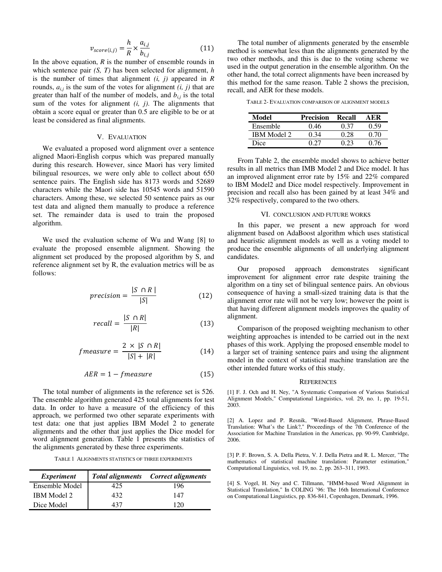$$
v_{score(i,j)} = \frac{h}{R} \times \frac{a_{i,j}}{b_{i,j}}
$$
(11)

In the above equation,  $R$  is the number of ensemble rounds in which sentence pair *(S, T)* has been selected for alignment, *h* is the number of times that alignment *(i, j)* appeared in *R* rounds,  $a_{i,j}$  is the sum of the votes for alignment  $(i, j)$  that are greater than half of the number of models, and  $b_{i,j}$  is the total sum of the votes for alignment *(i, j)*. The alignments that obtain a score equal or greater than 0.5 are eligible to be or at least be considered as final alignments.

### V. EVALUATION

We evaluated a proposed word alignment over a sentence aligned Maori-English corpus which was prepared manually during this research. However, since Maori has very limited bilingual resources, we were only able to collect about 650 sentence pairs. The English side has 8173 words and 52689 characters while the Maori side has 10545 words and 51590 characters. Among these, we selected 50 sentence pairs as our test data and aligned them manually to produce a reference set. The remainder data is used to train the proposed algorithm.

We used the evaluation scheme of Wu and Wang [8] to evaluate the proposed ensemble alignment. Showing the alignment set produced by the proposed algorithm by S, and reference alignment set by R, the evaluation metrics will be as follows:

$$
precision = \frac{|S \cap R|}{|S|} \tag{12}
$$

$$
recall = \frac{|S \cap R|}{|R|} \tag{13}
$$

$$
fmeasure = \frac{2 \times |S \cap R|}{|S| + |R|} \tag{14}
$$

$$
AER = 1 - fmeasure \tag{15}
$$

The total number of alignments in the reference set is 526. The ensemble algorithm generated 425 total alignments for test data. In order to have a measure of the efficiency of this approach, we performed two other separate experiments with test data: one that just applies IBM Model 2 to generate alignments and the other that just applies the Dice model for word alignment generation. Table 1 presents the statistics of the alignments generated by these three experiments.

TABLE 1 ALIGNMENTS STATISTICS OF THREE EXPERIMENTS

| <i>Experiment</i>  |      | <b>Total alignments</b> Correct alignments |
|--------------------|------|--------------------------------------------|
| Ensemble Model     | 425  | 196                                        |
| <b>IBM</b> Model 2 | 432. | 147                                        |
| Dice Model         | 437  | 120                                        |

The total number of alignments generated by the ensemble method is somewhat less than the alignments generated by the two other methods, and this is due to the voting scheme we used in the output generation in the ensemble algorithm. On the other hand, the total correct alignments have been increased by this method for the same reason. Table 2 shows the precision, recall, and AER for these models.

TABLE 2- EVALUATION COMPARISON OF ALIGNMENT MODELS

| Model              | <b>Precision</b> | Recall | A E.R |
|--------------------|------------------|--------|-------|
| Ensemble           | 0.46             | በ 37   | በ 59  |
| <b>IBM Model 2</b> | በ 34             | 0.28   | 0. 70 |
| Dice               | በ ን7             |        | ገ 76  |

From Table 2, the ensemble model shows to achieve better results in all metrics than IMB Model 2 and Dice model. It has an improved alignment error rate by 15% and 22% compared to IBM Model2 and Dice model respectively. Improvement in precision and recall also has been gained by at least 34% and 32% respectively, compared to the two others.

#### VI. CONCLUSION AND FUTURE WORKS

In this paper, we present a new approach for word alignment based on AdaBoost algorithm which uses statistical and heuristic alignment models as well as a voting model to produce the ensemble alignments of all underlying alignment candidates.

Our proposed approach demonstrates significant improvement for alignment error rate despite training the algorithm on a tiny set of bilingual sentence pairs. An obvious consequence of having a small-sized training data is that the alignment error rate will not be very low; however the point is that having different alignment models improves the quality of alignment.

Comparison of the proposed weighting mechanism to other weighting approaches is intended to be carried out in the next phases of this work. Applying the proposed ensemble model to a larger set of training sentence pairs and using the alignment model in the context of statistical machine translation are the other intended future works of this study.

#### **REFERENCES**

[1] F. J. Och and H. Ney, "A Systematic Comparison of Various Statistical Alignment Models," Computational Linguistics, vol. 29, no. 1, pp. 19-51, 2003.

[2] A. Lopez and P. Resnik, "Word-Based Alignment, Phrase-Based Translation: What's the Link?," Proceedings of the 7th Conference of the Association for Machine Translation in the Americas, pp. 90-99, Cambridge, 2006.

[3] P. F. Brown, S. A. Della Pietra, V. J. Della Pietra and R. L. Mercer, "The mathematics of statistical machine translation: Parameter estimation," Computational Linguistics, vol. 19, no. 2, pp. 263–311, 1993.

[4] S. Vogel, H. Ney and C. Tillmann, "HMM-based Word Alignment in Statistical Translation," In COLING '96: The 16th International Conference on Computational Linguistics, pp. 836-841, Copenhagen, Denmark, 1996.